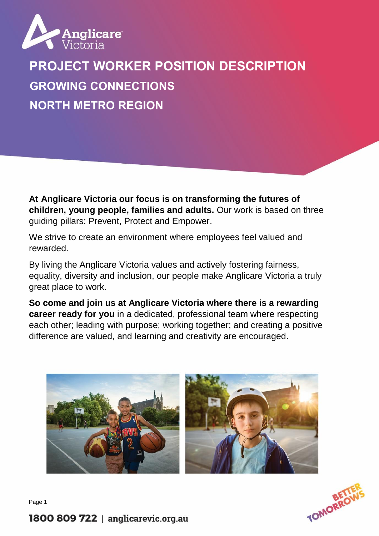

# **PROJECT WORKER POSITION DESCRIPTION GROWING CONNECTIONS NORTH METRO REGION**

**At Anglicare Victoria our focus is on transforming the futures of children, young people, families and adults.** Our work is based on three guiding pillars: Prevent, Protect and Empower.

We strive to create an environment where employees feel valued and rewarded.

By living the Anglicare Victoria values and actively fostering fairness, equality, diversity and inclusion, our people make Anglicare Victoria a truly great place to work.

**So come and join us at Anglicare Victoria where there is a rewarding career ready for you** in a dedicated, professional team where respecting each other; leading with purpose; working together; and creating a positive difference are valued, and learning and creativity are encouraged.





Page 1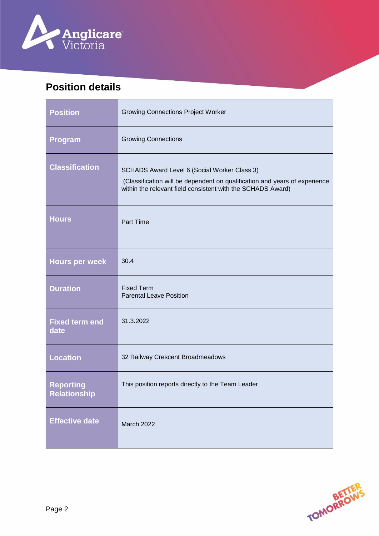

 $\blacksquare$ 

# **Position details**

÷

| <b>Position</b>                         | <b>Growing Connections Project Worker</b>                                                                                                                                                 |
|-----------------------------------------|-------------------------------------------------------------------------------------------------------------------------------------------------------------------------------------------|
| Program                                 | <b>Growing Connections</b>                                                                                                                                                                |
| <b>Classification</b>                   | SCHADS Award Level 6 (Social Worker Class 3)<br>(Classification will be dependent on qualification and years of experience<br>within the relevant field consistent with the SCHADS Award) |
| <b>Hours</b>                            | Part Time                                                                                                                                                                                 |
| <b>Hours per week</b>                   | 30.4                                                                                                                                                                                      |
| <b>Duration</b>                         | <b>Fixed Term</b><br><b>Parental Leave Position</b>                                                                                                                                       |
| <b>Fixed term end</b><br>date           | 31.3.2022                                                                                                                                                                                 |
| <b>Location</b>                         | 32 Railway Crescent Broadmeadows                                                                                                                                                          |
| <b>Reporting</b><br><b>Relationship</b> | This position reports directly to the Team Leader                                                                                                                                         |
| <b>Effective date</b>                   | March 2022                                                                                                                                                                                |



 $\overline{1}$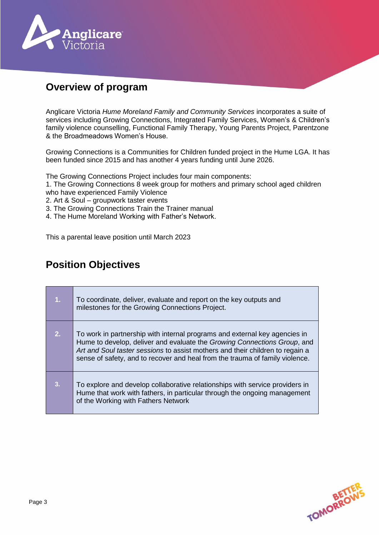

### **Overview of program**

Anglicare Victoria *Hume Moreland Family and Community Services* incorporates a suite of services including Growing Connections, Integrated Family Services, Women's & Children's family violence counselling, Functional Family Therapy, Young Parents Project, Parentzone & the Broadmeadows Women's House.

Growing Connections is a Communities for Children funded project in the Hume LGA. It has been funded since 2015 and has another 4 years funding until June 2026.

The Growing Connections Project includes four main components:

1. The Growing Connections 8 week group for mothers and primary school aged children who have experienced Family Violence

- 2. Art & Soul groupwork taster events
- 3. The Growing Connections Train the Trainer manual
- 4. The Hume Moreland Working with Father's Network.

This a parental leave position until March 2023

#### **Position Objectives**

| 1 <sub>r</sub> | To coordinate, deliver, evaluate and report on the key outputs and<br>milestones for the Growing Connections Project.                                                                                                                                                                                                   |
|----------------|-------------------------------------------------------------------------------------------------------------------------------------------------------------------------------------------------------------------------------------------------------------------------------------------------------------------------|
| 2.             | To work in partnership with internal programs and external key agencies in<br>Hume to develop, deliver and evaluate the Growing Connections Group, and<br>Art and Soul taster sessions to assist mothers and their children to regain a<br>sense of safety, and to recover and heal from the trauma of family violence. |
| 3.             | To explore and develop collaborative relationships with service providers in<br>Hume that work with fathers, in particular through the ongoing management<br>of the Working with Fathers Network                                                                                                                        |

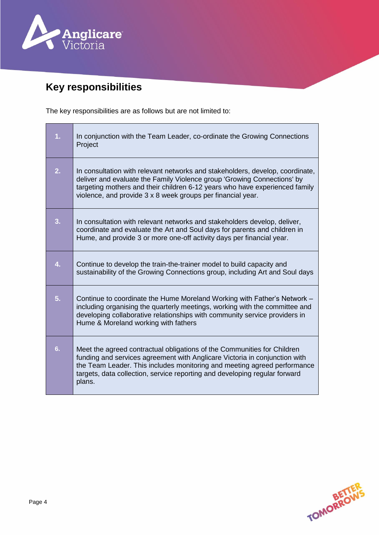

# **Key responsibilities**

The key responsibilities are as follows but are not limited to:

| 1. | In conjunction with the Team Leader, co-ordinate the Growing Connections<br>Project                                                                                                                                                                                                                                       |
|----|---------------------------------------------------------------------------------------------------------------------------------------------------------------------------------------------------------------------------------------------------------------------------------------------------------------------------|
| 2. | In consultation with relevant networks and stakeholders, develop, coordinate,<br>deliver and evaluate the Family Violence group 'Growing Connections' by<br>targeting mothers and their children 6-12 years who have experienced family<br>violence, and provide 3 x 8 week groups per financial year.                    |
| 3. | In consultation with relevant networks and stakeholders develop, deliver,<br>coordinate and evaluate the Art and Soul days for parents and children in<br>Hume, and provide 3 or more one-off activity days per financial year.                                                                                           |
| 4. | Continue to develop the train-the-trainer model to build capacity and<br>sustainability of the Growing Connections group, including Art and Soul days                                                                                                                                                                     |
| 5. | Continue to coordinate the Hume Moreland Working with Father's Network -<br>including organising the quarterly meetings, working with the committee and<br>developing collaborative relationships with community service providers in<br>Hume & Moreland working with fathers                                             |
| 6. | Meet the agreed contractual obligations of the Communities for Children<br>funding and services agreement with Anglicare Victoria in conjunction with<br>the Team Leader. This includes monitoring and meeting agreed performance<br>targets, data collection, service reporting and developing regular forward<br>plans. |

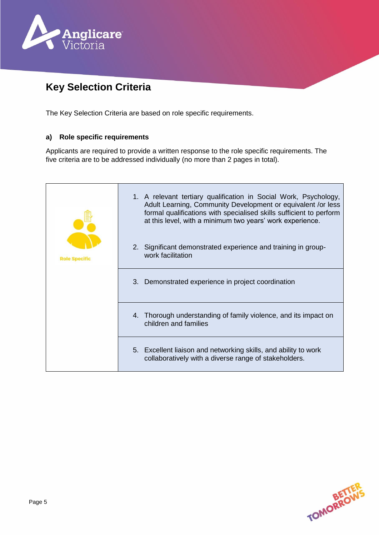

# **Key Selection Criteria**

The Key Selection Criteria are based on role specific requirements.

#### **a) Role specific requirements**

Applicants are required to provide a written response to the role specific requirements. The five criteria are to be addressed individually (no more than 2 pages in total).

|                      | 1. A relevant tertiary qualification in Social Work, Psychology,<br>Adult Learning, Community Development or equivalent /or less<br>formal qualifications with specialised skills sufficient to perform<br>at this level, with a minimum two years' work experience. |
|----------------------|----------------------------------------------------------------------------------------------------------------------------------------------------------------------------------------------------------------------------------------------------------------------|
| <b>Role Specific</b> | 2. Significant demonstrated experience and training in group-<br>work facilitation                                                                                                                                                                                   |
|                      | $3_{-}$<br>Demonstrated experience in project coordination                                                                                                                                                                                                           |
|                      | 4. Thorough understanding of family violence, and its impact on<br>children and families                                                                                                                                                                             |
|                      | 5. Excellent liaison and networking skills, and ability to work<br>collaboratively with a diverse range of stakeholders.                                                                                                                                             |

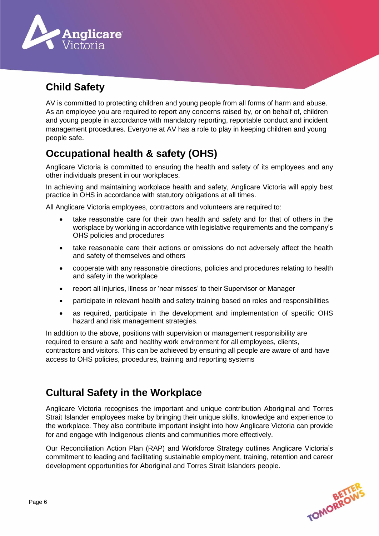

# **Child Safety**

AV is committed to protecting children and young people from all forms of harm and abuse. As an employee you are required to report any concerns raised by, or on behalf of, children and young people in accordance with mandatory reporting, reportable conduct and incident management procedures. Everyone at AV has a role to play in keeping children and young people safe.

## **Occupational health & safety (OHS)**

Anglicare Victoria is committed to ensuring the health and safety of its employees and any other individuals present in our workplaces.

In achieving and maintaining workplace health and safety, Anglicare Victoria will apply best practice in OHS in accordance with statutory obligations at all times.

All Anglicare Victoria employees, contractors and volunteers are required to:

- take reasonable care for their own health and safety and for that of others in the workplace by working in accordance with legislative requirements and the company's OHS policies and procedures
- take reasonable care their actions or omissions do not adversely affect the health and safety of themselves and others
- cooperate with any reasonable directions, policies and procedures relating to health and safety in the workplace
- report all injuries, illness or 'near misses' to their Supervisor or Manager
- participate in relevant health and safety training based on roles and responsibilities
- as required, participate in the development and implementation of specific OHS hazard and risk management strategies.

In addition to the above, positions with supervision or management responsibility are required to ensure a safe and healthy work environment for all employees, clients, contractors and visitors. This can be achieved by ensuring all people are aware of and have access to OHS policies, procedures, training and reporting systems

### **Cultural Safety in the Workplace**

Anglicare Victoria recognises the important and unique contribution Aboriginal and Torres Strait Islander employees make by bringing their unique skills, knowledge and experience to the workplace. They also contribute important insight into how Anglicare Victoria can provide for and engage with Indigenous clients and communities more effectively.

Our Reconciliation Action Plan (RAP) and Workforce Strategy outlines Anglicare Victoria's commitment to leading and facilitating sustainable employment, training, retention and career development opportunities for Aboriginal and Torres Strait Islanders people.